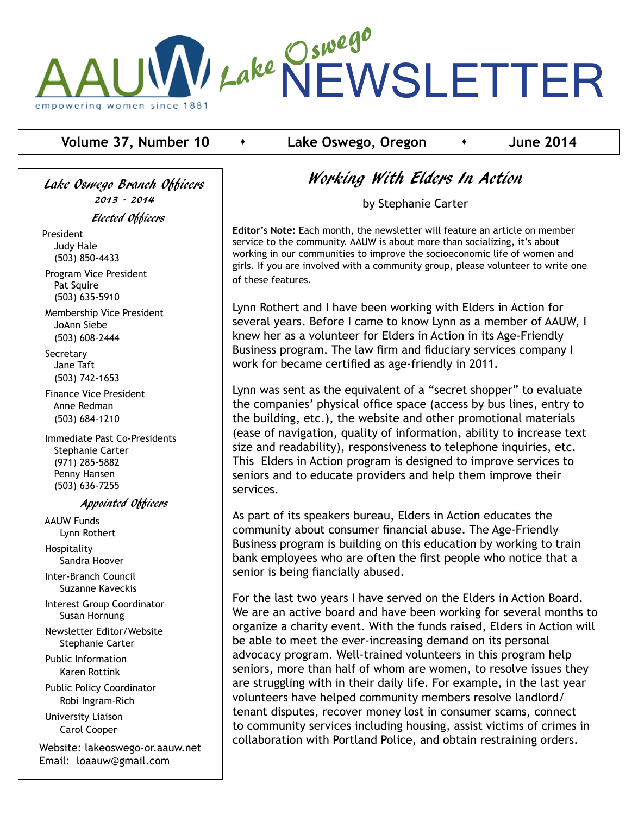

#### **Volume 37, Number 10**  $\rightarrow$  Lake Oswego, Oregon  $\rightarrow$  June 2014

Lake Oswego Branch Officers 2013 - 2014 Elected Officers President Judy Hale (503) 850-4433

 Program Vice President Pat Squire (503) 635-5910

 Membership Vice President JoAnn Siebe (503) 608-2444

**Secretary**  Jane Taft (503) 742-1653

 Finance Vice President Anne Redman (503) 684-1210

 Immediate Past Co-Presidents Stephanie Carter (971) 285-5882 Penny Hansen (503) 636-7255

#### Appointed Officers

 AAUW Funds Lynn Rothert Hospitality Sandra Hoover

 Inter-Branch Council Suzanne Kaveckis

 Interest Group Coordinator Susan Hornung

 Newsletter Editor/Website Stephanie Carter

 Public Information Karen Rottink

 Public Policy Coordinator Robi Ingram-Rich

 University Liaison Carol Cooper

Website: lakeoswego-or.aauw.net Email: loaauw@gmail.com

## Working With Elders In Action

by Stephanie Carter

**Editor's Note:** Each month, the newsletter will feature an article on member service to the community. AAUW is about more than socializing, it's about working in our communities to improve the socioeconomic life of women and girls. If you are involved with a community group, please volunteer to write one of these features.

Lynn Rothert and I have been working with Elders in Action for several years. Before I came to know Lynn as a member of AAUW, I knew her as a volunteer for Elders in Action in its Age-Friendly Business program. The law firm and fiduciary services company I work for became certified as age-friendly in 2011.

Lynn was sent as the equivalent of a "secret shopper" to evaluate the companies' physical office space (access by bus lines, entry to the building, etc.), the website and other promotional materials (ease of navigation, quality of information, ability to increase text size and readability), responsiveness to telephone inquiries, etc. This Elders in Action program is designed to improve services to seniors and to educate providers and help them improve their services.

As part of its speakers bureau, Elders in Action educates the community about consumer financial abuse. The Age-Friendly Business program is building on this education by working to train bank employees who are often the first people who notice that a senior is being fiancially abused.

For the last two years I have served on the Elders in Action Board. We are an active board and have been working for several months to organize a charity event. With the funds raised, Elders in Action will be able to meet the ever-increasing demand on its personal advocacy program. Well-trained volunteers in this program help seniors, more than half of whom are women, to resolve issues they are struggling with in their daily life. For example, in the last year volunteers have helped community members resolve landlord/ tenant disputes, recover money lost in consumer scams, connect to community services including housing, assist victims of crimes in collaboration with Portland Police, and obtain restraining orders.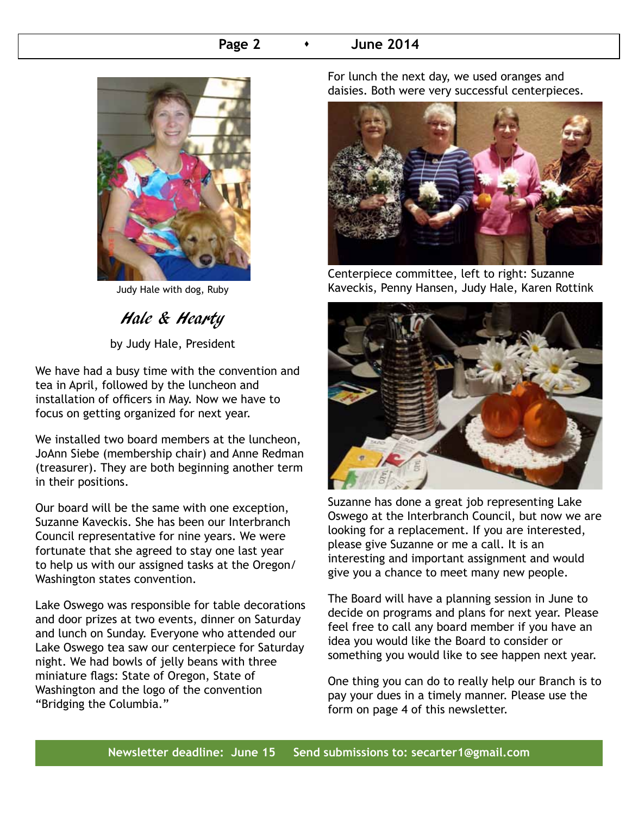#### **Page 2 b 1 June 2014**



Judy Hale with dog, Ruby

Hale & Hearty

by Judy Hale, President

We have had a busy time with the convention and tea in April, followed by the luncheon and installation of officers in May. Now we have to focus on getting organized for next year.

We installed two board members at the luncheon, JoAnn Siebe (membership chair) and Anne Redman (treasurer). They are both beginning another term in their positions.

Our board will be the same with one exception, Suzanne Kaveckis. She has been our Interbranch Council representative for nine years. We were fortunate that she agreed to stay one last year to help us with our assigned tasks at the Oregon/ Washington states convention.

Lake Oswego was responsible for table decorations and door prizes at two events, dinner on Saturday and lunch on Sunday. Everyone who attended our Lake Oswego tea saw our centerpiece for Saturday night. We had bowls of jelly beans with three miniature flags: State of Oregon, State of Washington and the logo of the convention "Bridging the Columbia."

For lunch the next day, we used oranges and daisies. Both were very successful centerpieces.



Centerpiece committee, left to right: Suzanne Kaveckis, Penny Hansen, Judy Hale, Karen Rottink



Suzanne has done a great job representing Lake Oswego at the Interbranch Council, but now we are looking for a replacement. If you are interested, please give Suzanne or me a call. It is an interesting and important assignment and would give you a chance to meet many new people.

The Board will have a planning session in June to decide on programs and plans for next year. Please feel free to call any board member if you have an idea you would like the Board to consider or something you would like to see happen next year.

One thing you can do to really help our Branch is to pay your dues in a timely manner. Please use the form on page 4 of this newsletter.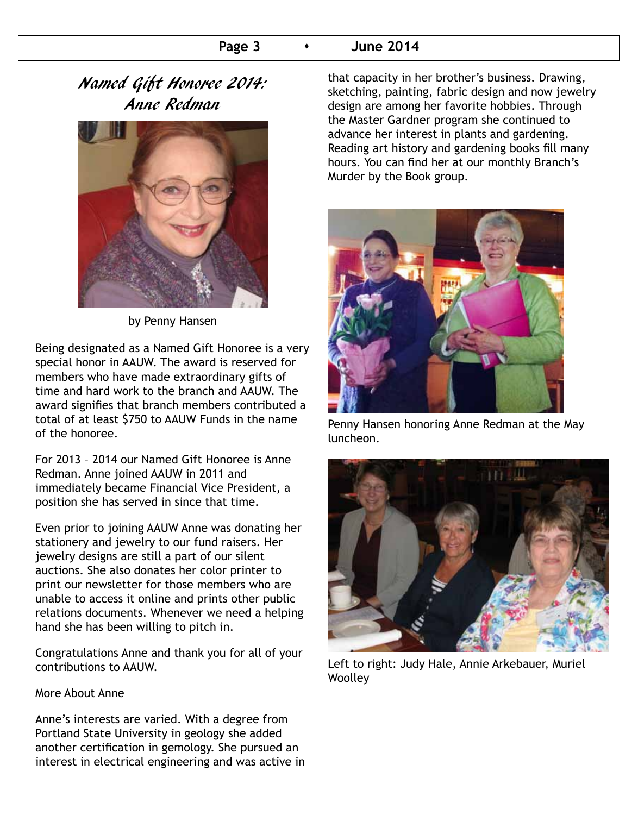### **Page 3**  $\rightarrow$  June 2014

## Named Gift Honoree 2014: Anne Redman



by Penny Hansen

Being designated as a Named Gift Honoree is a very special honor in AAUW. The award is reserved for members who have made extraordinary gifts of time and hard work to the branch and AAUW. The award signifies that branch members contributed a total of at least \$750 to AAUW Funds in the name of the honoree.

For 2013 – 2014 our Named Gift Honoree is Anne Redman. Anne joined AAUW in 2011 and immediately became Financial Vice President, a position she has served in since that time.

Even prior to joining AAUW Anne was donating her stationery and jewelry to our fund raisers. Her jewelry designs are still a part of our silent auctions. She also donates her color printer to print our newsletter for those members who are unable to access it online and prints other public relations documents. Whenever we need a helping hand she has been willing to pitch in.

Congratulations Anne and thank you for all of your contributions to AAUW.

#### More About Anne

Anne's interests are varied. With a degree from Portland State University in geology she added another certification in gemology. She pursued an interest in electrical engineering and was active in that capacity in her brother's business. Drawing, sketching, painting, fabric design and now jewelry design are among her favorite hobbies. Through the Master Gardner program she continued to advance her interest in plants and gardening. Reading art history and gardening books fill many hours. You can find her at our monthly Branch's Murder by the Book group.



Penny Hansen honoring Anne Redman at the May luncheon.



Left to right: Judy Hale, Annie Arkebauer, Muriel **Woolley**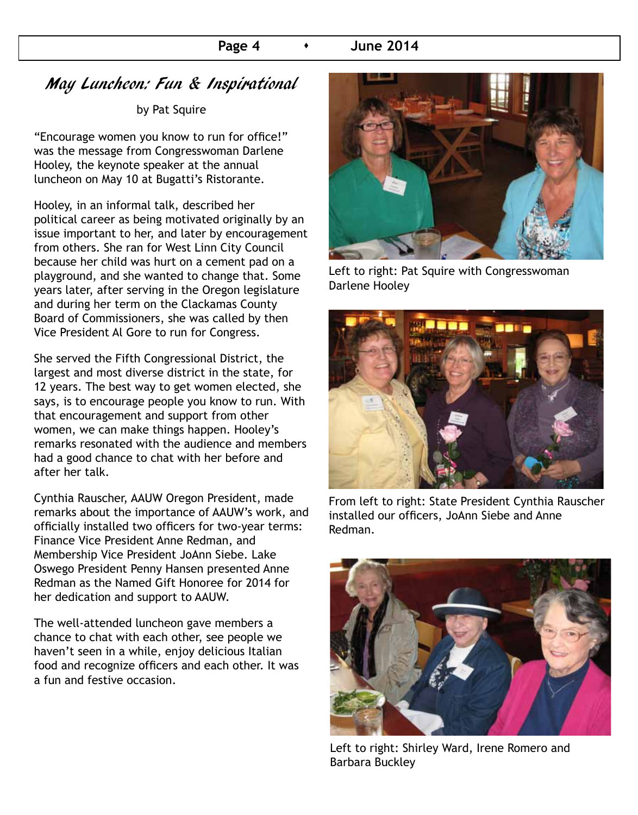#### **Page 4 b 1 June 2014**

## May Luncheon: Fun & Inspirational

by Pat Squire

"Encourage women you know to run for office!" was the message from Congresswoman Darlene Hooley, the keynote speaker at the annual luncheon on May 10 at Bugatti's Ristorante.

Hooley, in an informal talk, described her political career as being motivated originally by an issue important to her, and later by encouragement from others. She ran for West Linn City Council because her child was hurt on a cement pad on a playground, and she wanted to change that. Some years later, after serving in the Oregon legislature and during her term on the Clackamas County Board of Commissioners, she was called by then Vice President Al Gore to run for Congress.

She served the Fifth Congressional District, the largest and most diverse district in the state, for 12 years. The best way to get women elected, she says, is to encourage people you know to run. With that encouragement and support from other women, we can make things happen. Hooley's remarks resonated with the audience and members had a good chance to chat with her before and after her talk.

Cynthia Rauscher, AAUW Oregon President, made remarks about the importance of AAUW's work, and officially installed two officers for two-year terms: Finance Vice President Anne Redman, and Membership Vice President JoAnn Siebe. Lake Oswego President Penny Hansen presented Anne Redman as the Named Gift Honoree for 2014 for her dedication and support to AAUW.

The well-attended luncheon gave members a chance to chat with each other, see people we haven't seen in a while, enjoy delicious Italian food and recognize officers and each other. It was a fun and festive occasion.



Left to right: Pat Squire with Congresswoman Darlene Hooley



From left to right: State President Cynthia Rauscher installed our officers, JoAnn Siebe and Anne Redman.



Left to right: Shirley Ward, Irene Romero and Barbara Buckley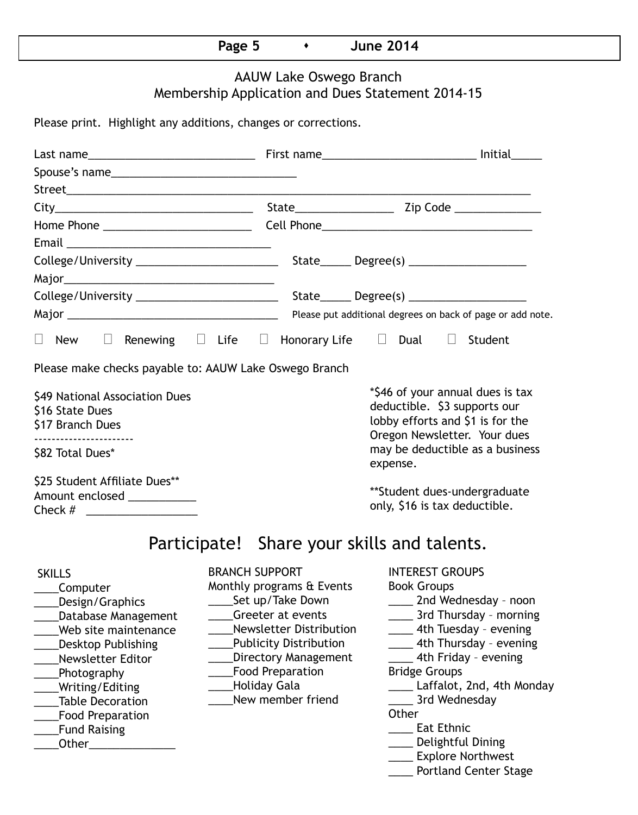| - - - |  |  |
|-------|--|--|
|       |  |  |

### AAUW Lake Oswego Branch Membership Application and Dues Statement 2014-15

Please print. Highlight any additions, changes or corrections.

| Email <u>_______________________________</u>                                                                                                                                                                                                                        |                                                                                                                                               |                                                                                                              |                                                                                                                                                                                                                                                                                                                                                                                  |  |  |  |
|---------------------------------------------------------------------------------------------------------------------------------------------------------------------------------------------------------------------------------------------------------------------|-----------------------------------------------------------------------------------------------------------------------------------------------|--------------------------------------------------------------------------------------------------------------|----------------------------------------------------------------------------------------------------------------------------------------------------------------------------------------------------------------------------------------------------------------------------------------------------------------------------------------------------------------------------------|--|--|--|
|                                                                                                                                                                                                                                                                     |                                                                                                                                               |                                                                                                              |                                                                                                                                                                                                                                                                                                                                                                                  |  |  |  |
|                                                                                                                                                                                                                                                                     |                                                                                                                                               |                                                                                                              |                                                                                                                                                                                                                                                                                                                                                                                  |  |  |  |
|                                                                                                                                                                                                                                                                     |                                                                                                                                               |                                                                                                              |                                                                                                                                                                                                                                                                                                                                                                                  |  |  |  |
|                                                                                                                                                                                                                                                                     |                                                                                                                                               | Please put additional degrees on back of page or add note.                                                   |                                                                                                                                                                                                                                                                                                                                                                                  |  |  |  |
| New<br>$\Box$                                                                                                                                                                                                                                                       |                                                                                                                                               |                                                                                                              | $\Box$ Renewing $\Box$ Life $\Box$ Honorary Life $\Box$ Dual $\Box$ Student                                                                                                                                                                                                                                                                                                      |  |  |  |
| Please make checks payable to: AAUW Lake Oswego Branch<br>\$49 National Association Dues<br>\$16 State Dues<br>\$17 Branch Dues                                                                                                                                     |                                                                                                                                               |                                                                                                              | *\$46 of your annual dues is tax<br>deductible. \$3 supports our<br>lobby efforts and \$1 is for the<br>Oregon Newsletter. Your dues                                                                                                                                                                                                                                             |  |  |  |
| -----------------------<br>\$82 Total Dues*                                                                                                                                                                                                                         |                                                                                                                                               |                                                                                                              | may be deductible as a business<br>expense.                                                                                                                                                                                                                                                                                                                                      |  |  |  |
| \$25 Student Affiliate Dues**<br>Amount enclosed ____________                                                                                                                                                                                                       |                                                                                                                                               |                                                                                                              | **Student dues-undergraduate<br>only, \$16 is tax deductible.                                                                                                                                                                                                                                                                                                                    |  |  |  |
|                                                                                                                                                                                                                                                                     |                                                                                                                                               |                                                                                                              | Participate! Share your skills and talents.                                                                                                                                                                                                                                                                                                                                      |  |  |  |
| <b>SKILLS</b><br>Computer<br>Design/Graphics<br>Database Management<br>Web site maintenance<br><b>Desktop Publishing</b><br><b>Newsletter Editor</b><br>Photography<br>Writing/Editing<br><b>Table Decoration</b><br><b>Food Preparation</b><br><b>Fund Raising</b> | <b>BRANCH SUPPORT</b><br>Monthly programs & Events<br>Set up/Take Down<br>Greeter at events<br><b>Food Preparation</b><br><b>Holiday Gala</b> | Newsletter Distribution<br><b>Publicity Distribution</b><br><b>Directory Management</b><br>New member friend | <b>INTEREST GROUPS</b><br><b>Book Groups</b><br>____ 2nd Wednesday - noon<br>____ 3rd Thursday - morning<br>_____ 4th Tuesday - evening<br>4th Thursday - evening<br>4th Friday - evening<br><b>Bridge Groups</b><br>Laffalot, 2nd, 4th Monday<br>3rd Wednesday<br>Other<br><b>Eat Ethnic</b><br>___ Delightful Dining<br>____ Explore Northwest<br><b>Portland Center Stage</b> |  |  |  |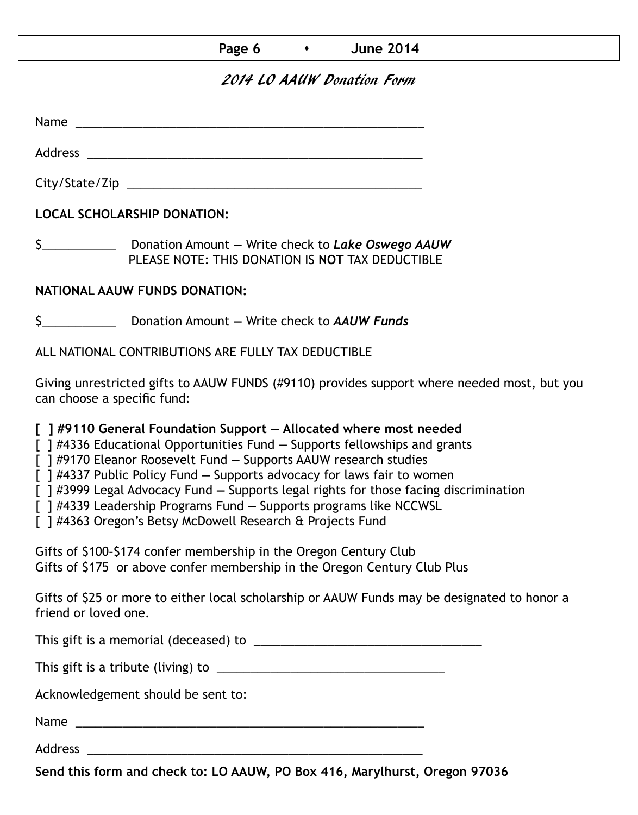| Page 6 |  | <b>June 2014</b> |
|--------|--|------------------|
|--------|--|------------------|

### 2014 LO AAUW Donation Form

Name was also as  $\sim$  100  $\mu$  and  $\mu$  and  $\mu$  and  $\mu$  and  $\mu$  and  $\mu$  and  $\mu$ 

City/State/Zip \_\_\_\_\_\_\_\_\_\_\_\_\_\_\_\_\_\_\_\_\_\_\_\_\_\_\_\_\_\_\_\_\_\_\_\_\_\_\_\_\_\_\_\_

Address \_\_\_\_\_\_\_\_\_\_\_\_\_\_\_\_\_\_\_\_\_\_\_\_\_\_\_\_\_\_\_\_\_\_\_\_\_\_\_\_\_\_\_\_\_\_\_\_\_\_

**LOCAL SCHOLARSHIP DONATION:**

\$\_\_\_\_\_\_\_\_\_\_\_ Donation Amount **—** Write check to *Lake Oswego AAUW* PLEASE NOTE: THIS DONATION IS **NOT** TAX DEDUCTIBLE

### **NATIONAL AAUW FUNDS DONATION:**

\$\_\_\_\_\_\_\_\_\_\_\_ Donation Amount **—** Write check to *AAUW Funds*

ALL NATIONAL CONTRIBUTIONS ARE FULLY TAX DEDUCTIBLE

Giving unrestricted gifts to AAUW FUNDS (#9110) provides support where needed most, but you can choose a specific fund:

**[ ] #9110 General Foundation Support — Allocated where most needed** 

[ ] #4336 Educational Opportunities Fund **—** Supports fellowships and grants

[ ] #9170 Eleanor Roosevelt Fund **—** Supports AAUW research studies

[ ] #4337 Public Policy Fund **—** Supports advocacy for laws fair to women

[ ] #3999 Legal Advocacy Fund **—** Supports legal rights for those facing discrimination

[ ] #4339 Leadership Programs Fund **—** Supports programs like NCCWSL

[ ] #4363 Oregon's Betsy McDowell Research & Projects Fund

Gifts of \$100–\$174 confer membership in the Oregon Century Club Gifts of \$175 or above confer membership in the Oregon Century Club Plus

Gifts of \$25 or more to either local scholarship or AAUW Funds may be designated to honor a friend or loved one.

This gift is a memorial (deceased) to \_\_\_\_\_\_\_\_\_\_\_\_\_\_\_\_\_\_\_\_\_\_\_\_\_\_\_\_\_\_\_\_\_\_

This gift is a tribute (living) to \_\_\_\_\_\_\_\_\_\_\_\_\_\_\_\_\_\_\_\_\_\_\_\_\_\_\_\_\_\_\_\_\_\_

Acknowledgement should be sent to:

Name \_\_\_\_\_\_\_\_\_\_\_\_\_\_\_\_\_\_\_\_\_\_\_\_\_\_\_\_\_\_\_\_\_\_\_\_\_\_\_\_\_\_\_\_\_\_\_\_\_\_\_\_

Address \_\_\_\_\_\_\_\_\_\_\_\_\_\_\_\_\_\_\_\_\_\_\_\_\_\_\_\_\_\_\_\_\_\_\_\_\_\_\_\_\_\_\_\_\_\_\_\_\_\_

**Send this form and check to: LO AAUW, PO Box 416, Marylhurst, Oregon 97036**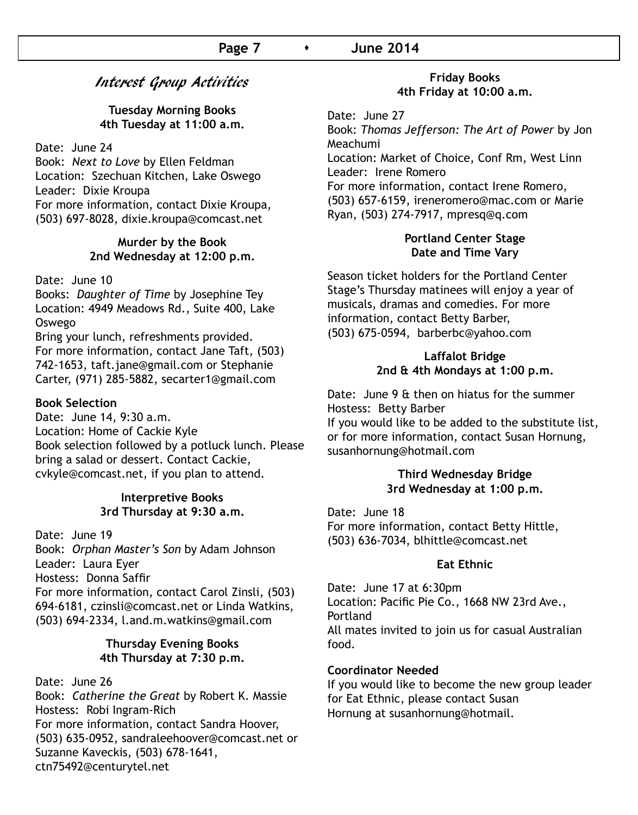### Interest Group Activities

**Tuesday Morning Books 4th Tuesday at 11:00 a.m.**

Date: June 24

Book: *Next to Love* by Ellen Feldman Location: Szechuan Kitchen, Lake Oswego Leader: Dixie Kroupa For more information, contact Dixie Kroupa, (503) 697-8028, dixie.kroupa@comcast.net

#### **Murder by the Book 2nd Wednesday at 12:00 p.m.**

#### Date: June 10

Books: *Daughter of Time* by Josephine Tey Location: 4949 Meadows Rd., Suite 400, Lake Oswego

Bring your lunch, refreshments provided. For more information, contact Jane Taft, (503) 742-1653, taft.jane@gmail.com or Stephanie Carter, (971) 285-5882, secarter1@gmail.com

#### **Book Selection**

Date: June 14, 9:30 a.m. Location: Home of Cackie Kyle Book selection followed by a potluck lunch. Please bring a salad or dessert. Contact Cackie, cvkyle@comcast.net, if you plan to attend.

#### **Interpretive Books 3rd Thursday at 9:30 a.m.**

Date: June 19 Book: *Orphan Master's Son* by Adam Johnson Leader: Laura Eyer Hostess: Donna Saffir For more information, contact Carol Zinsli, (503) 694-6181, czinsli@comcast.net or Linda Watkins, (503) 694-2334, l.and.m.watkins@gmail.com

#### **Thursday Evening Books 4th Thursday at 7:30 p.m.**

Date: June 26

Book: *Catherine the Great* by Robert K. Massie Hostess: Robi Ingram-Rich For more information, contact Sandra Hoover, (503) 635-0952, sandraleehoover@comcast.net or Suzanne Kaveckis, (503) 678-1641, ctn75492@centurytel.net

#### **Friday Books 4th Friday at 10:00 a.m.**

Date: June 27

Book: *Thomas Jefferson: The Art of Power* by Jon Meachumi Location: Market of Choice, Conf Rm, West Linn Leader: Irene Romero For more information, contact Irene Romero, (503) 657-6159, ireneromero@mac.com or Marie Ryan, (503) 274-7917, mpresq@q.com

#### **Portland Center Stage Date and Time Vary**

Season ticket holders for the Portland Center Stage's Thursday matinees will enjoy a year of musicals, dramas and comedies. For more information, contact Betty Barber, (503) 675-0594, barberbc@yahoo.com

#### **Laffalot Bridge 2nd & 4th Mondays at 1:00 p.m.**

Date: June 9 & then on hiatus for the summer Hostess: Betty Barber If you would like to be added to the substitute list, or for more information, contact Susan Hornung, susanhornung@hotmail.com

#### **Third Wednesday Bridge 3rd Wednesday at 1:00 p.m.**

Date: June 18 For more information, contact Betty Hittle, (503) 636-7034, blhittle@comcast.net

#### **Eat Ethnic**

Date: June 17 at 6:30pm Location: Pacific Pie Co., 1668 NW 23rd Ave., Portland All mates invited to join us for casual Australian food.

#### **Coordinator Needed**

If you would like to become the new group leader for Eat Ethnic, please contact Susan Hornung at susanhornung@hotmail.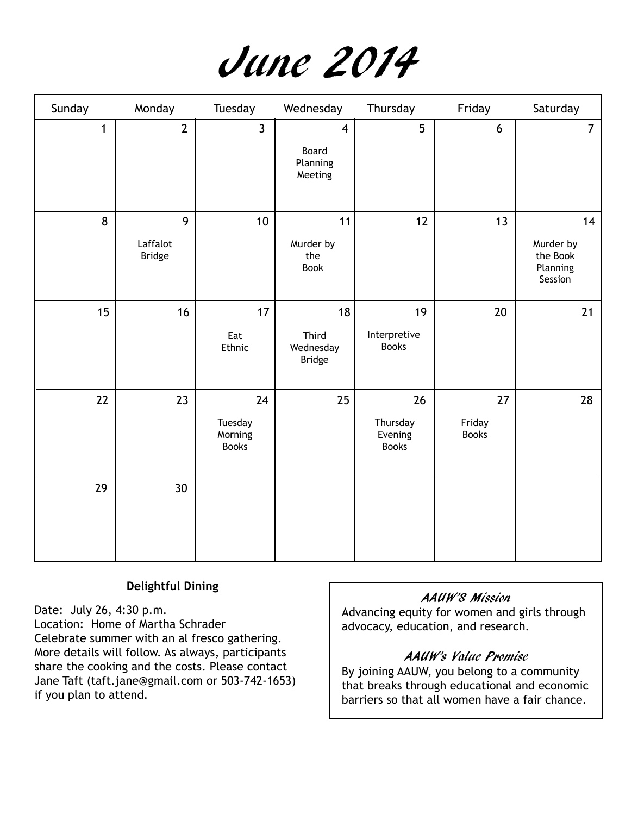

| Sunday       | Monday                         | Tuesday                                  | Wednesday                                               | Thursday                                  | Friday                       | Saturday                                           |
|--------------|--------------------------------|------------------------------------------|---------------------------------------------------------|-------------------------------------------|------------------------------|----------------------------------------------------|
| $\mathbf{1}$ | $\overline{2}$                 | $\overline{3}$                           | $\overline{\mathbf{4}}$<br>Board<br>Planning<br>Meeting | 5                                         | 6                            | $\overline{7}$                                     |
| 8            | 9<br>Laffalot<br><b>Bridge</b> | 10                                       | 11<br>Murder by<br>the<br><b>Book</b>                   | 12                                        | 13                           | 14<br>Murder by<br>the Book<br>Planning<br>Session |
| 15           | 16                             | 17<br>Eat<br>Ethnic                      | 18<br>Third<br>Wednesday<br><b>Bridge</b>               | 19<br>Interpretive<br><b>Books</b>        | 20                           | 21                                                 |
| 22           | 23                             | 24<br>Tuesday<br>Morning<br><b>Books</b> | 25                                                      | 26<br>Thursday<br>Evening<br><b>Books</b> | 27<br>Friday<br><b>Books</b> | 28                                                 |
| 29           | 30 <sup>°</sup>                |                                          |                                                         |                                           |                              |                                                    |

#### **Delightful Dining**

Date: July 26, 4:30 p.m. Location: Home of Martha Schrader Celebrate summer with an al fresco gathering. More details will follow. As always, participants share the cooking and the costs. Please contact Jane Taft (taft.jane@gmail.com or 503-742-1653) if you plan to attend.

#### AAUW'S Mission

Advancing equity for women and girls through advocacy, education, and research.

#### AAUW's Value Promise

By joining AAUW, you belong to a community that breaks through educational and economic barriers so that all women have a fair chance.